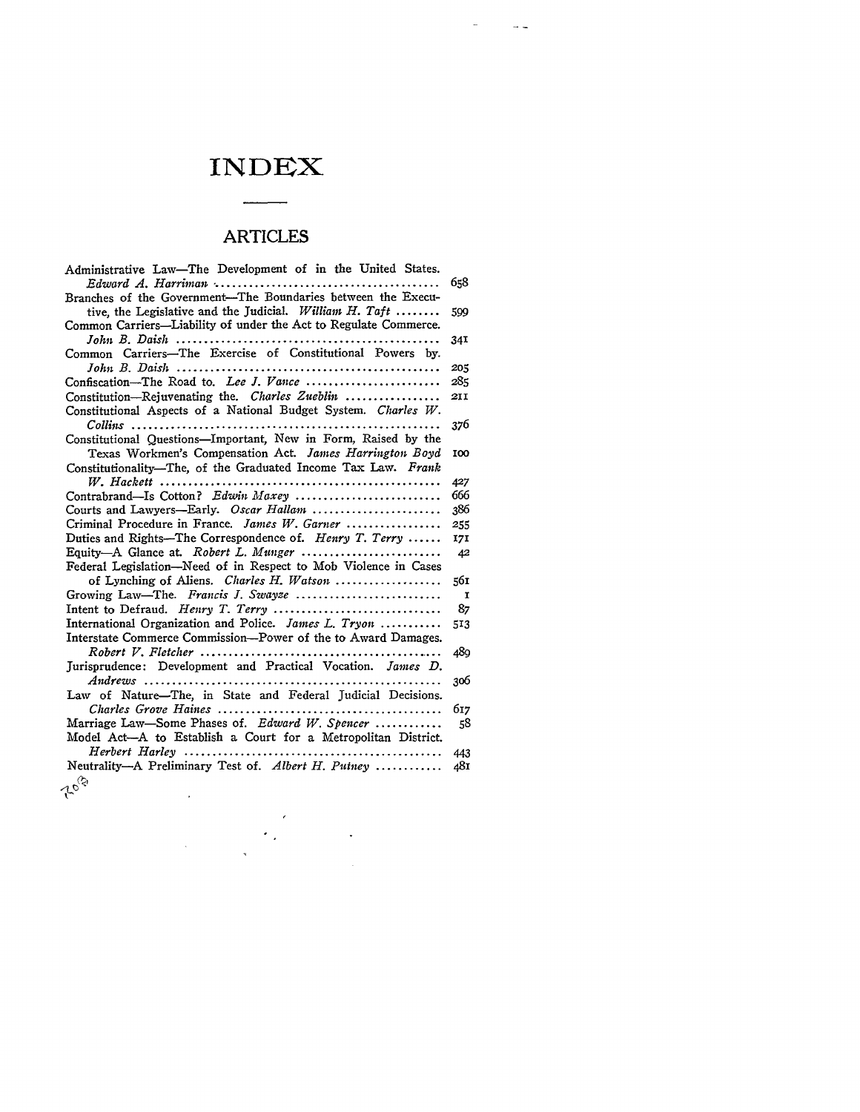# **INDEX**

 $\sim$ 

 $\sim$   $\sim$ 

# ARTICLES

| Administrative Law-The Development of in the United States.                                 |              |
|---------------------------------------------------------------------------------------------|--------------|
|                                                                                             | 658          |
| Branches of the Government-The Boundaries between the Execu-                                |              |
| tive, the Legislative and the Judicial. William H. Taft                                     | 599          |
| Common Carriers-Liability of under the Act to Regulate Commerce.                            |              |
| John B. Daish                                                                               | 34I          |
| Common Carriers-The Exercise of Constitutional Powers by.                                   |              |
|                                                                                             | 205          |
|                                                                                             | 285          |
| Constitution-Rejuvenating the. Charles Zueblin                                              | 211          |
| Constitutional Aspects of a National Budget System. Charles W.                              |              |
| $Collins$                                                                                   | 376          |
| Constitutional Questions-Important, New in Form, Raised by the                              |              |
| Texas Workmen's Compensation Act. James Harrington Boyd                                     | 100          |
| Constitutionality-The, of the Graduated Income Tax Law. Frank                               |              |
| $W.$ Hackett                                                                                | 427          |
| Contrabrand—Is Cotton? Edwin Maxey                                                          | 666          |
| Courts and Lawyers-Early. Oscar Hallam                                                      | 386          |
| Criminal Procedure in France. James W. Garner                                               | 255          |
| Duties and Rights-The Correspondence of. Henry T. Terry                                     | 171          |
| Equity-A Glance at. Robert L. Munger                                                        | 42           |
| Federal Legislation-Need of in Respect to Mob Violence in Cases                             |              |
| of Lynching of Aliens. Charles H. Watson                                                    | 561          |
| Growing Law-The. Francis J. Swayze                                                          | $\mathbf{I}$ |
|                                                                                             | 87           |
| International Organization and Police. James L. $Tryon$                                     | 513          |
| Interstate Commerce Commission—Power of the to Award Damages.                               |              |
| $Robert V. Fletcher  \ldots \ldots \ldots \ldots \ldots \ldots \ldots \ldots$<br>. <b>.</b> | 480          |
| Jurisprudence: Development and Practical Vocation. James D.                                 |              |
| $Andrews$ ,                                                                                 | 306          |
| Law of Nature-The, in State and Federal Judicial Decisions.                                 |              |
|                                                                                             | 617          |
| Marriage Law-Some Phases of. Edward W. Spencer                                              | 58           |
| Model Act-A to Establish a Court for a Metropolitan District.                               |              |
| Herbert Harley                                                                              | 443          |
| Neutrality-A Preliminary Test of. Albert H. Putney                                          | 481          |
| 10 <sup>G</sup>                                                                             |              |
|                                                                                             |              |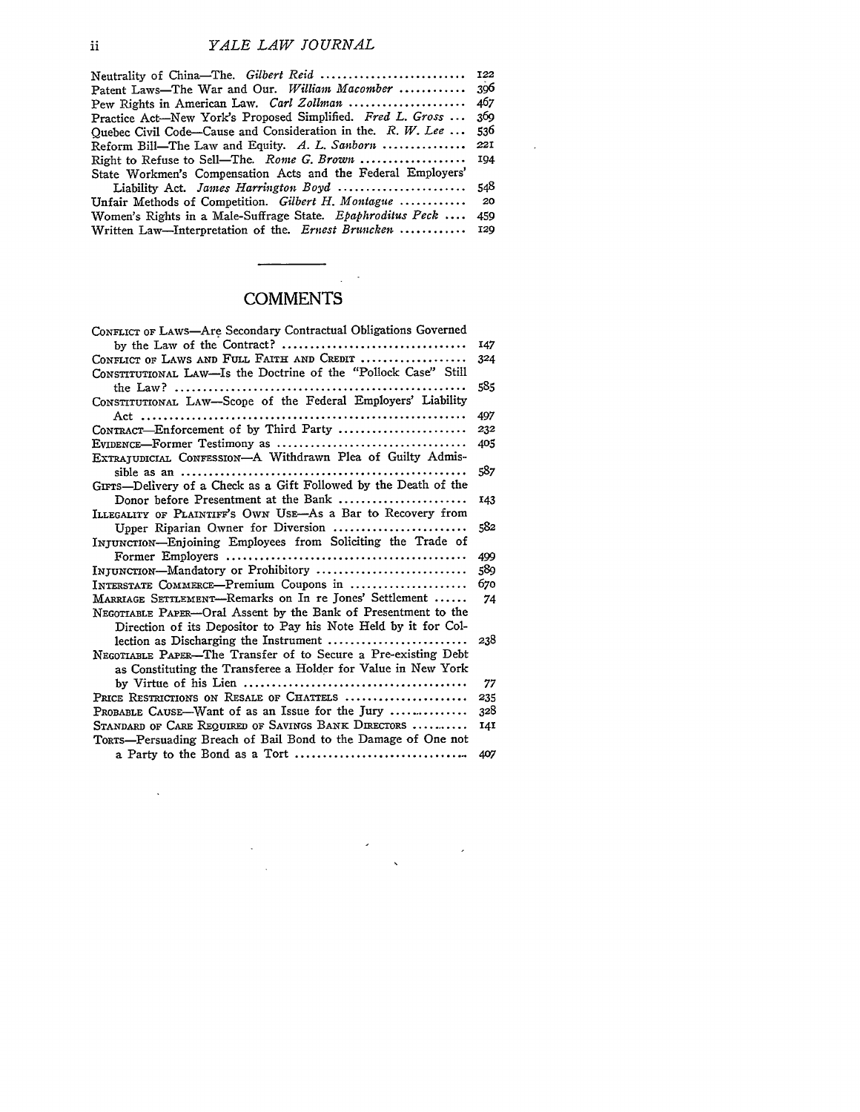| Neutrality of China-The. Gilbert Reid  122                   |            |
|--------------------------------------------------------------|------------|
| Patent Laws—The War and Our. William Macomber                | 306        |
| Pew Rights in American Law. Carl Zollman                     | 467        |
| Practice Act-New York's Proposed Simplified. Fred L. Gross   | 369        |
| Quebec Civil Code—Cause and Consideration in the. R. W. Lee  | 536.       |
| Reform Bill—The Law and Equity. A. L. Sanborn                | <b>221</b> |
| Right to Refuse to Sell-The. Rome G. Brown                   | 194        |
| State Workmen's Compensation Acts and the Federal Employers' |            |
| Liability Act. James Harrington Boyd                         | 548        |
| Unfair Methods of Competition. Gilbert H. Montague           | - 20       |
| Women's Rights in a Male-Suffrage State. Epaphroditus Peck   | 459        |
| Written Law-Interpretation of the. Ernest Bruncken           | 120        |

 $\sim 10^{-1}$ 

### **COMMENTS**

 $\ddot{\phantom{0}}$  $\frac{1}{2}$  ,  $\frac{1}{2}$ 

| CONFLICT OF LAWS-Are Secondary Contractual Obligations Governed  |     |
|------------------------------------------------------------------|-----|
|                                                                  | 147 |
| CONFLICT OF LAWS AND FULL FAITH AND CREDIT                       | 324 |
| CONSTITUTIONAL LAW-Is the Doctrine of the "Pollock Case" Still   |     |
|                                                                  | 585 |
| CONSTITUTIONAL LAW-Scope of the Federal Employers' Liability     |     |
|                                                                  | 497 |
| CONTRACT-Enforcement of by Third Party                           | 232 |
|                                                                  | 405 |
| EXTRAJUDICIAL CONFESSION-A Withdrawn Plea of Guilty Admis-       |     |
|                                                                  | 587 |
| GIFTS-Delivery of a Check as a Gift Followed by the Death of the |     |
| Donor before Presentment at the Bank                             | 143 |
| ILLEGALITY OF PLAINTIFF'S OWN USE—As a Bar to Recovery from      |     |
| Upper Riparian Owner for Diversion                               | 582 |
| INJUNCTION-Enjoining Employees from Soliciting the Trade of      |     |
|                                                                  | 499 |
| INJUNCTION-Mandatory or Prohibitory                              | 589 |
| INTERSTATE COMMERCE—Premium Coupons in                           | 670 |
| MARRIAGE SETTLEMENT---Remarks on In re Jones' Settlement         | 74  |
| NEGOTIABLE PAPER-Oral Assent by the Bank of Presentment to the   |     |
| Direction of its Depositor to Pay his Note Held by it for Col-   |     |
| lection as Discharging the Instrument                            | 238 |
| NEGOTIABLE PAPER—The Transfer of to Secure a Pre-existing Debt   |     |
| as Constituting the Transferee a Holder for Value in New York    |     |
|                                                                  | 77  |
| PRICE RESTRICTIONS ON RESALE OF CHATTELS                         | 235 |
| <b>PROBABLE CAUSE—Want of as an Issue for the Jury </b>          | 328 |
| STANDARD OF CARE REQUIRED OF SAVINGS BANK DIRECTORS              | 141 |
| Torrs—Persuading Breach of Bail Bond to the Damage of One not    |     |
|                                                                  | 407 |

 $\sim 10^7$ 

 $\mathbf{ii}$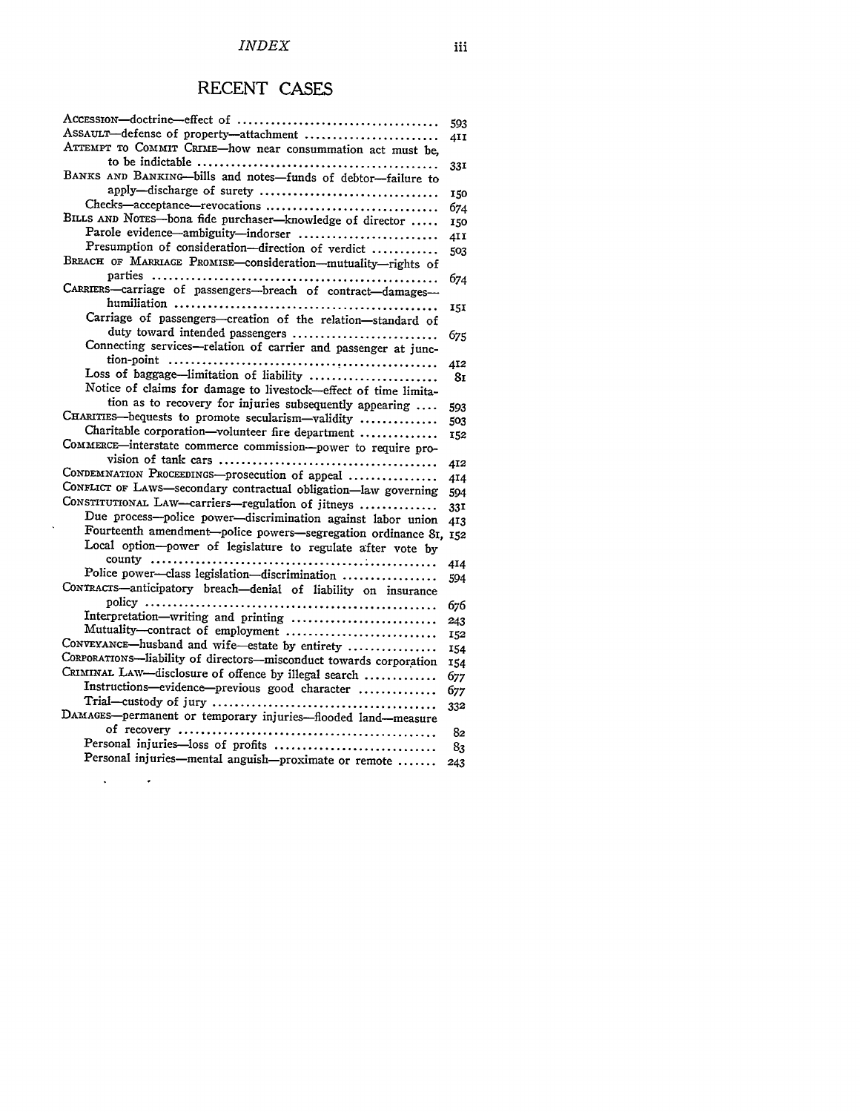# RECENT CASES

|                                                                         | 593  |
|-------------------------------------------------------------------------|------|
| Assault-defense of property-attachment                                  | 41 I |
| ATTEMPT TO COMMIT CRIME-how near consummation act must be,              |      |
|                                                                         | 33I  |
| BANKS AND BANKING-bills and notes-funds of debtor-failure to            |      |
| apply-discharge of surety                                               | 150  |
| Checks-acceptance-revocations                                           | 674  |
| BILLS AND NOTES-bona fide purchaser-knowledge of director               | 150  |
| Parole evidence-ambiguity-indorser                                      | 411  |
| Presumption of consideration-direction of verdict                       | 503  |
| BREACH OF MARRIAGE PROMISE-consideration-mutuality-rights of            |      |
|                                                                         | 674  |
| CARRIERS-carriage of passengers-breach of contract-damages-             |      |
|                                                                         | 15I  |
| Carriage of passengers-creation of the relation-standard of             |      |
| duty toward intended passengers                                         | 675  |
| Connecting services-relation of carrier and passenger at junc-          |      |
|                                                                         | 412  |
| Loss of baggage-limitation of liability                                 | 8г   |
| Notice of claims for damage to livestock-effect of time limita-         |      |
| tion as to recovery for injuries subsequently appearing                 | 593  |
| CHARITIES-bequests to promote secularism-validity                       | 503  |
| Charitable corporation-volunteer fire department                        | 152  |
| COMMERCE-interstate commerce commission-power to require pro-           |      |
|                                                                         | 412  |
| CONDEMNATION PROCEEDINGS-prosecution of appeal                          | 414  |
| CONFLICT OF LAWS-secondary contractual obligation-law governing         | 594  |
| CONSTITUTIONAL LAW-carriers-regulation of jitneys                       | 33I  |
| Due process--police power-discrimination against labor union            | 413  |
| Fourteenth amendment-police powers-segregation ordinance 81, 152        |      |
| Local option-power of legislature to regulate after vote by             |      |
| Police power-class legislation-discrimination                           | 414  |
| CONTRACTS-anticipatory breach-denial of liability on insurance          | 594  |
|                                                                         |      |
|                                                                         | 676  |
| Interpretation-writing and printing<br>Mutuality-contract of employment | 243  |
| CONVEYANCE-husband and wife-estate by entirety                          | 152  |
| CORPORATIONS-liability of directors-misconduct towards corporation      | 154  |
| CRIMINAL LAW-disclosure of offence by illegal search                    | 154  |
| Instructions-evidence-previous good character                           | 677  |
|                                                                         | 677  |
|                                                                         | 332  |
| DAMAGES-permanent or temporary injuries-flooded land-measure            |      |
|                                                                         | 82   |
| Personal injuries-loss of profits                                       | 83   |
| Personal injuries—mental anguish—proximate or remote                    | 243  |

 $\Delta \phi = 0.000$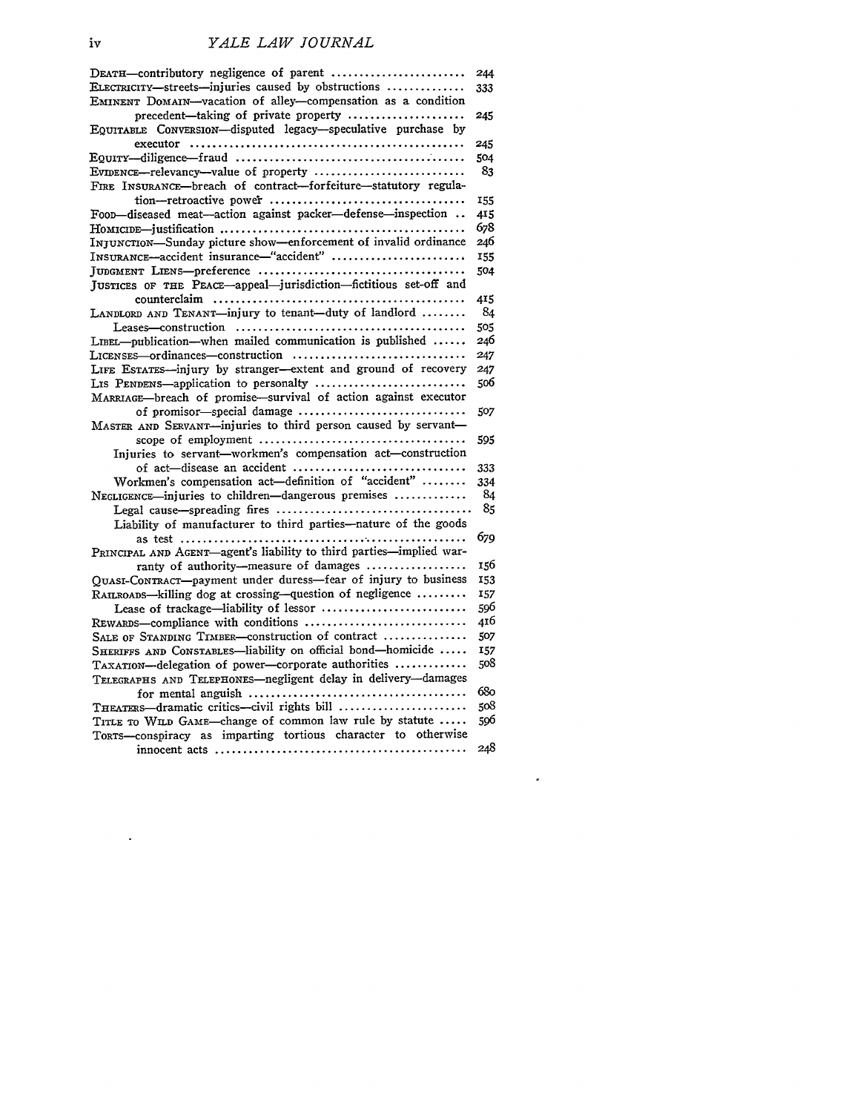| DEATH-contributory negligence of parent                                                        | 244 |
|------------------------------------------------------------------------------------------------|-----|
| ELECTRICITY-streets-injuries caused by obstructions                                            | 333 |
| EMINENT DOMAIN-vacation of alley-compensation as a condition                                   |     |
| precedent-taking of private property                                                           | 245 |
| EQUITABLE CONVERSION-disputed legacy-speculative purchase by                                   |     |
|                                                                                                | 245 |
|                                                                                                | 504 |
| EVIDENCE-relevancy-value of property                                                           | 83  |
| FIRE INSURANCE—breach of contract—forfeiture—statutory regula-                                 |     |
|                                                                                                | 155 |
| Foon-diseased meat-action against packer-defense-inspection                                    | 415 |
|                                                                                                | 678 |
| INJUNCTION-Sunday picture show-enforcement of invalid ordinance                                | 246 |
| INSURANCE-accident insurance-"accident"                                                        | 155 |
|                                                                                                | 504 |
| JUSTICES OF THE PEACE-appeal-jurisdiction-fictitious set-off and                               |     |
|                                                                                                | 415 |
| LANDLORD AND TENANT-injury to tenant-duty of landlord                                          | 84  |
|                                                                                                | 505 |
| LIBEL-publication-when mailed communication is published                                       | 246 |
| $Licenses$ -ordinances - construction $\ldots, \ldots, \ldots, \ldots, \ldots, \ldots, \ldots$ | 247 |
| LIFE ESTATES-injury by stranger-extent and ground of recovery                                  | 247 |
| LIS PENDENS-application to personalty                                                          | 506 |
| MARRIAGE-breach of promise-survival of action against executor                                 |     |
| of promisor—special damage                                                                     | 507 |
|                                                                                                |     |
| MASTER AND SERVANT-injuries to third person caused by servant-                                 |     |
|                                                                                                | 595 |
| Injuries to servant-workmen's compensation act-construction                                    |     |
| of act-disease an accident                                                                     | 333 |
| Workmen's compensation act-definition of "accident"                                            | 334 |
| NEGLIGENCE-injuries to children-dangerous premises                                             | 84  |
|                                                                                                | 85  |
| Liability of manufacturer to third parties-nature of the goods                                 |     |
|                                                                                                | 679 |
| PRINCIPAL AND AGENT—agent's liability to third parties—implied war-                            |     |
| ranty of authority-measure of damages                                                          | 156 |
| QUASI-CONTRACT-payment under duress-fear of injury to business                                 | 153 |
| RAILROADS-killing dog at crossing-question of negligence                                       | 157 |
| Lease of trackage-liability of lessor                                                          | 596 |
|                                                                                                | 416 |
| SALE OF STANDING TIMBER-construction of contract                                               | 507 |
| SHERIFFS AND CONSTABLES-liability on official bond-homicide                                    | 157 |
| TAXATION-delegation of power-corporate authorities                                             | 508 |
| TELEGRAPHS AND TELEPHONES-negligent delay in delivery-damages                                  |     |
|                                                                                                | 680 |
| THEATERS—dramatic critics—civil rights bill                                                    | 508 |
| TITLE TO WILD GAME-change of common law rule by statute                                        | 596 |
| TORTS-conspiracy as imparting tortious character to otherwise                                  |     |
|                                                                                                | 248 |

 $\mathcal{L}^{\text{max}}_{\text{max}}$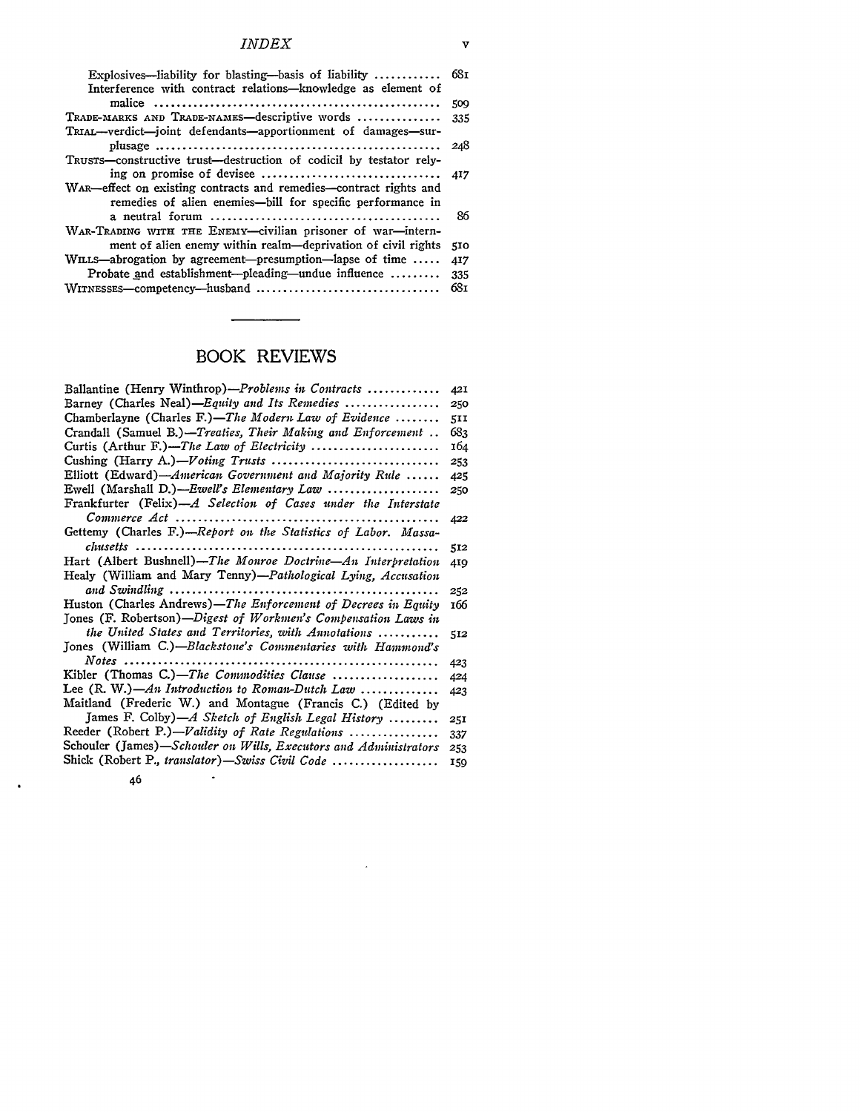#### *INDEX*

| Explosives—liability for blasting—basis of liability $68x$         |     |
|--------------------------------------------------------------------|-----|
| Interference with contract relations-knowledge as element of       |     |
|                                                                    | 509 |
| TRADE-MARKS AND TRADE-NAMES-descriptive words                      | 335 |
| TRIAL—verdict—joint defendants—apportionment of damages—sur-       |     |
|                                                                    | 248 |
| TRUSTS-constructive trust-destruction of codicil by testator rely- |     |
|                                                                    |     |
| WAR-effect on existing contracts and remedies-contract rights and  |     |
| remedies of alien enemies—bill for specific performance in         |     |
|                                                                    | 86  |
| WAR-TRADING WITH THE ENEMY-civilian prisoner of war-intern-        |     |
| ment of alien enemy within realm—deprivation of civil rights       | 510 |
| WILLS—abrogation by agreement—presumption—lapse of time $\dots$    | 417 |
| Probate and establishment--pleading--undue influence               | 335 |
| WITNESSES-competency-husband                                       | 681 |

# BOOK REVIEWS

| Ballantine (Henry Winthrop)— <i>Problems in Contracts</i>        | 421 |
|------------------------------------------------------------------|-----|
| Barney (Charles Neal)—Equity and Its Remedies                    | 250 |
| Chamberlayne (Charles F.)—The Modern Law of Evidence             | 511 |
| Crandall (Samuel B.)—Treaties, Their Making and Enforcement      | 683 |
|                                                                  | 164 |
|                                                                  | 253 |
| Elliott (Edward)—American Government and Majority Rule           | 425 |
| Ewell (Marshall D.)—Ewell's Elementary Law                       | 250 |
| Frankfurter (Felix)—A Selection of Cases under the Interstate    |     |
|                                                                  | 422 |
| Gettemy (Charles F.)-Report on the Statistics of Labor. Massa-   |     |
|                                                                  | 512 |
| Hart (Albert Bushnell)—The Monroe Doctrine—An Interpretation     | 419 |
| Healy (William and Mary Tenny)-Pathological Lying, Accusation    |     |
| and Swindling                                                    | 252 |
| Huston (Charles Andrews)-The Enforcement of Decrees in Equity    | 166 |
| Jones (F. Robertson)—Digest of Workmen's Compensation Laws in    |     |
| the United States and Territories, with Annotations              | 512 |
| Jones (William C.)-Blackstone's Commentaries with Hammond's      |     |
|                                                                  | 423 |
| Kibler (Thomas C.)—The Commodities Clause                        | 424 |
| Lee $(R, W)$ —An Introduction to Roman-Dutch Law                 | 423 |
| Maitland (Frederic W.) and Montague (Francis C.) (Edited by      |     |
| James F. Colby)-A Sketch of English Legal History                | 25I |
| Reeder (Robert P.)-Validity of Rate Regulations                  | 337 |
| Schouler (James)-Schouler on Wills, Executors and Administrators | 253 |
| Shick (Robert P., translator)—Swiss Civil Code                   | 159 |
| 46                                                               |     |

 $\mathcal{A}$ 

 $\bullet$